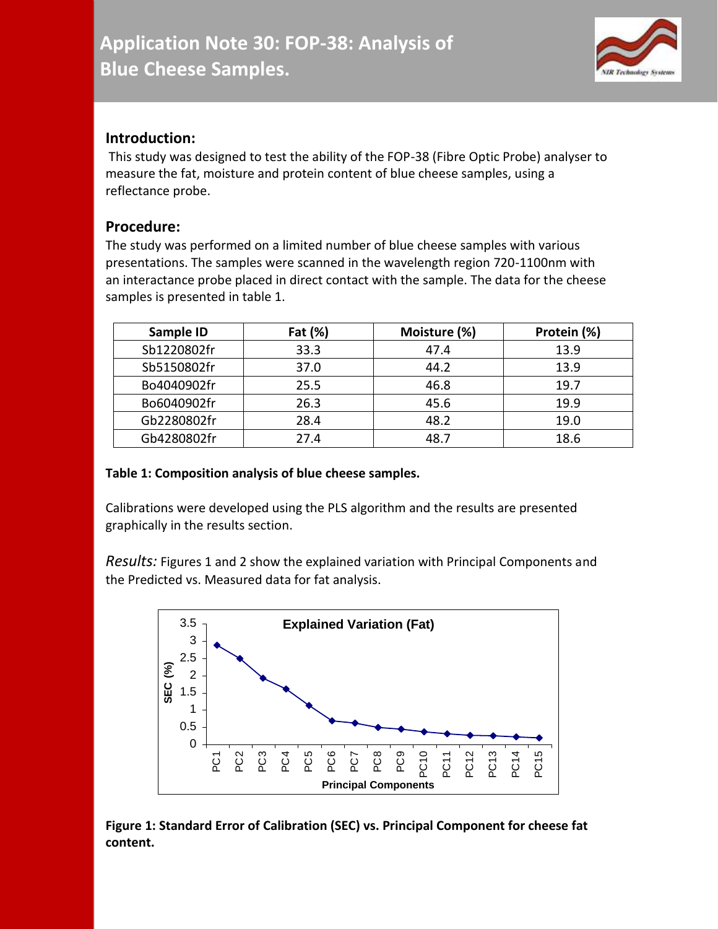

## **Introduction:**

This study was designed to test the ability of the FOP-38 (Fibre Optic Probe) analyser to measure the fat, moisture and protein content of blue cheese samples, using a reflectance probe.

## **Procedure:**

The study was performed on a limited number of blue cheese samples with various presentations. The samples were scanned in the wavelength region 720-1100nm with an interactance probe placed in direct contact with the sample. The data for the cheese samples is presented in table 1.

| Sample ID   | Fat (%) | Moisture (%) | Protein (%) |
|-------------|---------|--------------|-------------|
| Sb1220802fr | 33.3    | 47.4         | 13.9        |
| Sb5150802fr | 37.0    | 44.2         | 13.9        |
| Bo4040902fr | 25.5    | 46.8         | 19.7        |
| Bo6040902fr | 26.3    | 45.6         | 19.9        |
| Gb2280802fr | 28.4    | 48.2         | 19.0        |
| Gb4280802fr | 27.4    | 48.7         | 18.6        |

## **Table 1: Composition analysis of blue cheese samples.**

Calibrations were developed using the PLS algorithm and the results are presented graphically in the results section.

*Results:* Figures 1 and 2 show the explained variation with Principal Components and the Predicted vs. Measured data for fat analysis.



**Figure 1: Standard Error of Calibration (SEC) vs. Principal Component for cheese fat content.**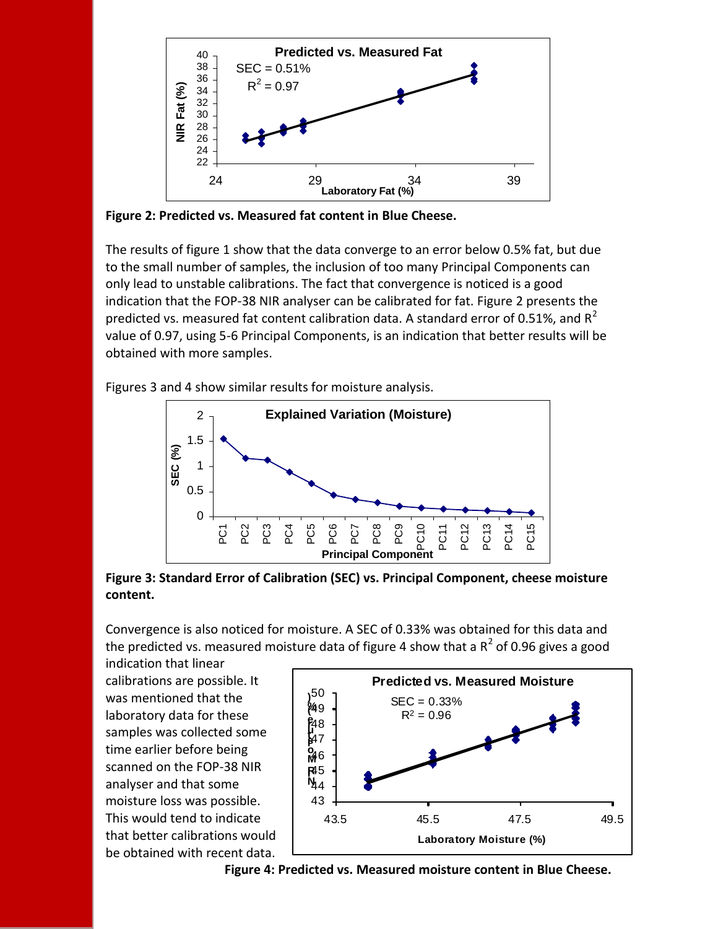

**Figure 2: Predicted vs. Measured fat content in Blue Cheese.**

The results of figure 1 show that the data converge to an error below 0.5% fat, but due to the small number of samples, the inclusion of too many Principal Components can only lead to unstable calibrations. The fact that convergence is noticed is a good indication that the FOP-38 NIR analyser can be calibrated for fat. Figure 2 presents the predicted vs. measured fat content calibration data. A standard error of 0.51%, and  $R^2$ value of 0.97, using 5-6 Principal Components, is an indication that better results will be obtained with more samples.

Figures 3 and 4 show similar results for moisture analysis.



**Figure 3: Standard Error of Calibration (SEC) vs. Principal Component, cheese moisture content.**

Convergence is also noticed for moisture. A SEC of 0.33% was obtained for this data and the predicted vs. measured moisture data of figure 4 show that a  $R^2$  of 0.96 gives a good

indication that linear calibrations are possible. It was mentioned that the laboratory data for these samples was collected some time earlier before being scanned on the FOP-38 NIR analyser and that some moisture loss was possible. This would tend to indicate that better calibrations would be obtained with recent data.



**Figure 4: Predicted vs. Measured moisture content in Blue Cheese.**